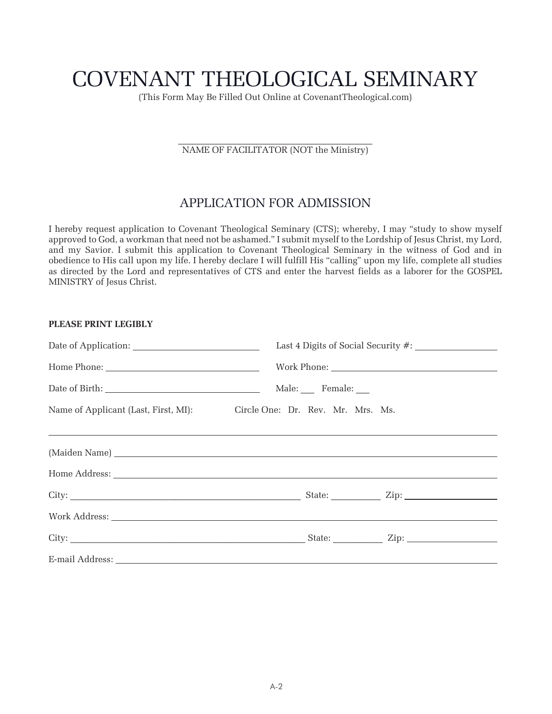# COVENANT THEOLOGICAL SEMINARY

(This Form May Be Filled Out Online at CovenantTheological.com)

\_\_\_\_\_\_\_\_\_\_\_\_\_\_\_\_\_\_\_\_\_\_\_\_\_\_\_\_\_\_\_\_\_\_\_\_\_\_\_\_\_\_\_ NAME OF FACILITATOR (NOT the Ministry)

#### APPLICATION FOR ADMISSION

I hereby request application to Covenant Theological Seminary (CTS); whereby, I may "study to show myself approved to God, a workman that need not be ashamed." I submit myself to the Lordship of Jesus Christ, my Lord, and my Savior. I submit this application to Covenant Theological Seminary in the witness of God and in obedience to His call upon my life. I hereby declare I will fulfill His "calling" upon my life, complete all studies as directed by the Lord and representatives of CTS and enter the harvest fields as a laborer for the GOSPEL MINISTRY of Jesus Christ.

| PLEASE PRINT LEGIBLY |                                                                        |
|----------------------|------------------------------------------------------------------------|
|                      |                                                                        |
|                      |                                                                        |
|                      |                                                                        |
|                      | Name of Applicant (Last, First, MI): Circle One: Dr. Rev. Mr. Mrs. Ms. |
|                      |                                                                        |
|                      |                                                                        |
|                      |                                                                        |
|                      |                                                                        |
|                      |                                                                        |
|                      |                                                                        |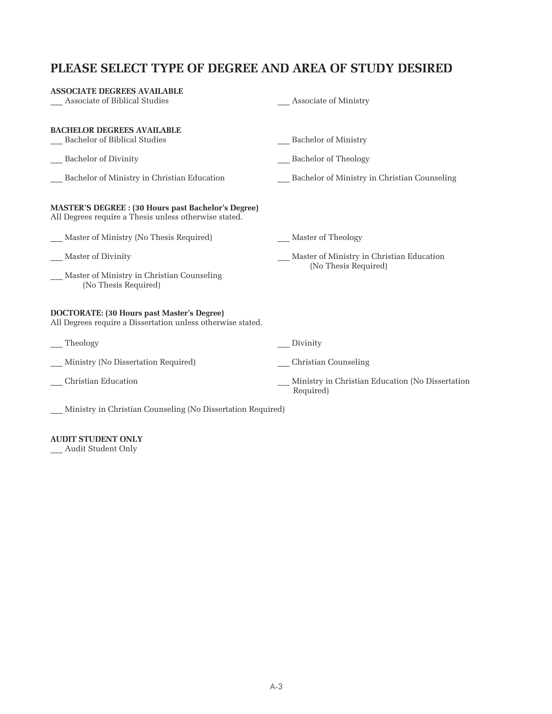# **PLEASE SELECT TYPE OF DEGREE AND AREA OF STUDY DESIRED**

| <b>ASSOCIATE DEGREES AVAILABLE</b><br>Associate of Biblical Studies                                                 | Associate of Ministry                                             |
|---------------------------------------------------------------------------------------------------------------------|-------------------------------------------------------------------|
| <b>BACHELOR DEGREES AVAILABLE</b><br>Bachelor of Biblical Studies<br>Bachelor of Divinity                           | Bachelor of Ministry<br><b>Bachelor of Theology</b>               |
| Bachelor of Ministry in Christian Education                                                                         | Bachelor of Ministry in Christian Counseling                      |
| <b>MASTER'S DEGREE : (30 Hours past Bachelor's Degree)</b><br>All Degrees require a Thesis unless otherwise stated. |                                                                   |
| Master of Ministry (No Thesis Required)                                                                             | Master of Theology                                                |
| Master of Divinity<br>Master of Ministry in Christian Counseling<br>(No Thesis Required)                            | Master of Ministry in Christian Education<br>(No Thesis Required) |
| <b>DOCTORATE:</b> (30 Hours past Master's Degree)<br>All Degrees require a Dissertation unless otherwise stated.    |                                                                   |
| Theology                                                                                                            | Divinity                                                          |
| Ministry (No Dissertation Required)                                                                                 | Christian Counseling                                              |
| Christian Education                                                                                                 | Ministry in Christian Education (No Dissertation<br>Required)     |

\_\_\_ Ministry in Christian Counseling (No Dissertation Required)

#### **AUDIT STUDENT ONLY**

\_\_\_ Audit Student Only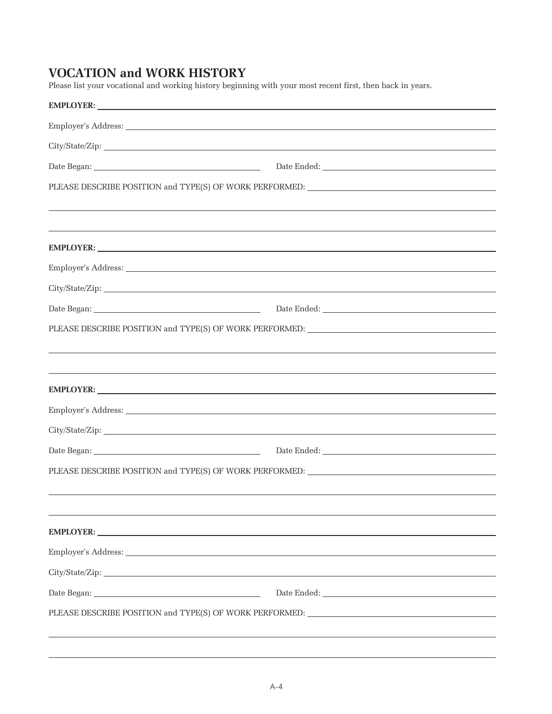# **VOCATION and WORK HISTORY**

Please list your vocational and working history beginning with your most recent first, then back in years.

| EMPLOYER: New York Street and Street and Street and Street and Street and Street and Street and Street and Street and Street and Street and Street and Street and Street and Street and Street and Street and Street and Stree |                                                                                   |
|--------------------------------------------------------------------------------------------------------------------------------------------------------------------------------------------------------------------------------|-----------------------------------------------------------------------------------|
|                                                                                                                                                                                                                                |                                                                                   |
|                                                                                                                                                                                                                                |                                                                                   |
|                                                                                                                                                                                                                                |                                                                                   |
| PLEASE DESCRIBE POSITION and TYPE(S) OF WORK PERFORMED: _________________________                                                                                                                                              |                                                                                   |
|                                                                                                                                                                                                                                | ,我们也不会有什么。""我们的人,我们也不会有什么?""我们的人,我们也不会有什么?""我们的人,我们也不会有什么?""我们的人,我们也不会有什么?""我们的人  |
|                                                                                                                                                                                                                                |                                                                                   |
| EMPLOYER: New York Contract the Contract of the Contract of the Contract of the Contract of the Contract of the Contract of the Contract of the Contract of the Contract of the Contract of the Contract of the Contract of th |                                                                                   |
|                                                                                                                                                                                                                                |                                                                                   |
|                                                                                                                                                                                                                                |                                                                                   |
|                                                                                                                                                                                                                                |                                                                                   |
|                                                                                                                                                                                                                                | PLEASE DESCRIBE POSITION and TYPE(S) OF WORK PERFORMED: _________________________ |
|                                                                                                                                                                                                                                |                                                                                   |
|                                                                                                                                                                                                                                |                                                                                   |
| EMPLOYER: New York Contract the Contract of the Contract of the Contract of the Contract of the Contract of the Contract of the Contract of the Contract of the Contract of the Contract of the Contract of the Contract of th |                                                                                   |
|                                                                                                                                                                                                                                |                                                                                   |
|                                                                                                                                                                                                                                |                                                                                   |
|                                                                                                                                                                                                                                |                                                                                   |
| PLEASE DESCRIBE POSITION and TYPE(S) OF WORK PERFORMED: _________________________                                                                                                                                              |                                                                                   |
|                                                                                                                                                                                                                                |                                                                                   |
|                                                                                                                                                                                                                                |                                                                                   |
| EMPLOYER: New York Street Assembly the Contract of the Contract of the Contract of the Contract of the Contract of the Contract of the Contract of the Contract of the Contract of the Contract of the Contract of the Contrac |                                                                                   |
|                                                                                                                                                                                                                                |                                                                                   |
|                                                                                                                                                                                                                                |                                                                                   |
|                                                                                                                                                                                                                                |                                                                                   |
| PLEASE DESCRIBE POSITION and TYPE(S) OF WORK PERFORMED: _________________________                                                                                                                                              |                                                                                   |
|                                                                                                                                                                                                                                |                                                                                   |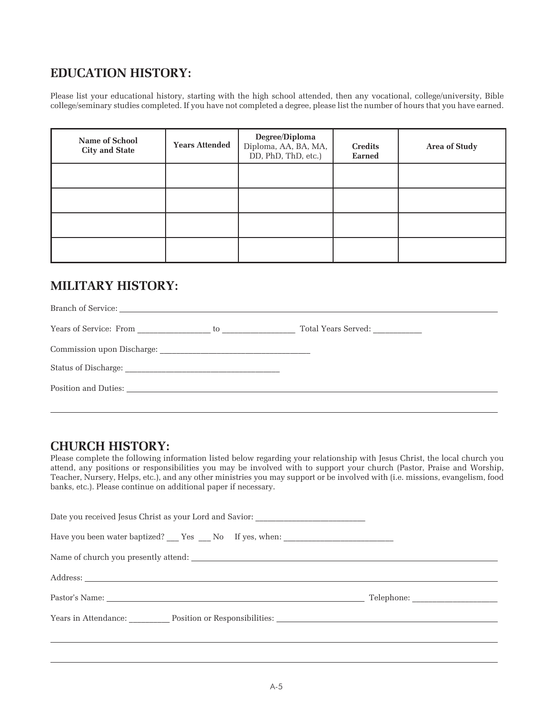#### **EDUCATION HISTORY:**

Please list your educational history, starting with the high school attended, then any vocational, college/university, Bible college/seminary studies completed. If you have not completed a degree, please list the number of hours that you have earned.

| Name of School<br><b>City and State</b> | <b>Years Attended</b> | Degree/Diploma<br>Diploma, AA, BA, MA,<br>DD, PhD, ThD, etc.) | <b>Credits</b><br><b>Earned</b> | <b>Area of Study</b> |
|-----------------------------------------|-----------------------|---------------------------------------------------------------|---------------------------------|----------------------|
|                                         |                       |                                                               |                                 |                      |
|                                         |                       |                                                               |                                 |                      |
|                                         |                       |                                                               |                                 |                      |
|                                         |                       |                                                               |                                 |                      |

# **MILITARY HISTORY:**

| Position and Duties: |  |
|----------------------|--|
|                      |  |

#### **CHURCH HISTORY:**

Please complete the following information listed below regarding your relationship with Jesus Christ, the local church you attend, any positions or responsibilities you may be involved with to support your church (Pastor, Praise and Worship, Teacher, Nursery, Helps, etc.), and any other ministries you may support or be involved with (i.e. missions, evangelism, food banks, etc.). Please continue on additional paper if necessary.

| Date you received Jesus Christ as your Lord and Savior: _________________________ |  |
|-----------------------------------------------------------------------------------|--|
|                                                                                   |  |
|                                                                                   |  |
|                                                                                   |  |
|                                                                                   |  |
| Years in Attendance: Position or Responsibilities: New Years in Attendance:       |  |